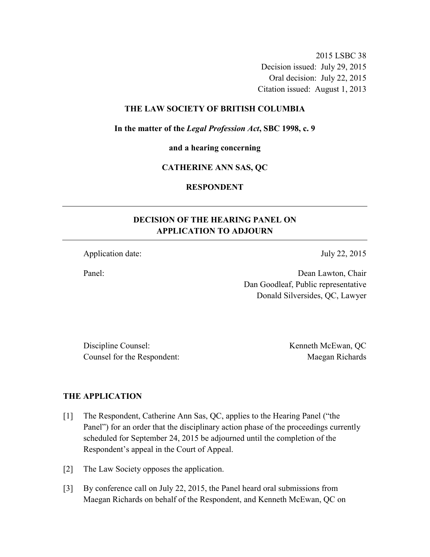2015 LSBC 38 Decision issued: July 29, 2015 Oral decision: July 22, 2015 Citation issued: August 1, 2013

#### **THE LAW SOCIETY OF BRITISH COLUMBIA**

**In the matter of the** *Legal Profession Act***, SBC 1998, c. 9** 

**and a hearing concerning** 

#### **CATHERINE ANN SAS, QC**

# **RESPONDENT**

# **DECISION OF THE HEARING PANEL ON APPLICATION TO ADJOURN**

Application date: July 22, 2015

Panel: Dean Lawton, Chair Dan Goodleaf, Public representative Donald Silversides, QC, Lawyer

Discipline Counsel: Kenneth McEwan, QC Counsel for the Respondent: Maegan Richards

#### **THE APPLICATION**

- [1] The Respondent, Catherine Ann Sas, QC, applies to the Hearing Panel ("the Panel") for an order that the disciplinary action phase of the proceedings currently scheduled for September 24, 2015 be adjourned until the completion of the Respondent's appeal in the Court of Appeal.
- [2] The Law Society opposes the application.
- [3] By conference call on July 22, 2015, the Panel heard oral submissions from Maegan Richards on behalf of the Respondent, and Kenneth McEwan, QC on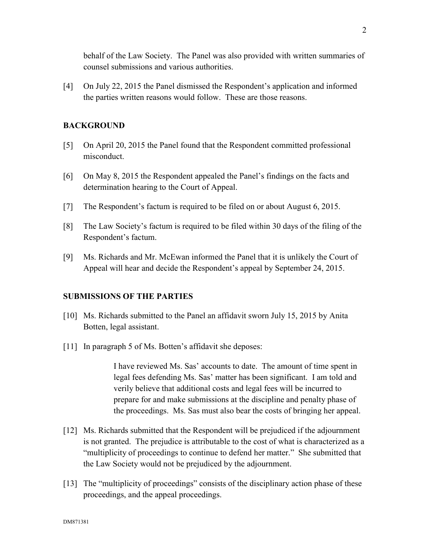behalf of the Law Society. The Panel was also provided with written summaries of counsel submissions and various authorities.

[4] On July 22, 2015 the Panel dismissed the Respondent's application and informed the parties written reasons would follow. These are those reasons.

## **BACKGROUND**

- [5] On April 20, 2015 the Panel found that the Respondent committed professional misconduct.
- [6] On May 8, 2015 the Respondent appealed the Panel's findings on the facts and determination hearing to the Court of Appeal.
- [7] The Respondent's factum is required to be filed on or about August 6, 2015.
- [8] The Law Society's factum is required to be filed within 30 days of the filing of the Respondent's factum.
- [9] Ms. Richards and Mr. McEwan informed the Panel that it is unlikely the Court of Appeal will hear and decide the Respondent's appeal by September 24, 2015.

## **SUBMISSIONS OF THE PARTIES**

- [10] Ms. Richards submitted to the Panel an affidavit sworn July 15, 2015 by Anita Botten, legal assistant.
- [11] In paragraph 5 of Ms. Botten's affidavit she deposes:

I have reviewed Ms. Sas' accounts to date. The amount of time spent in legal fees defending Ms. Sas' matter has been significant. I am told and verily believe that additional costs and legal fees will be incurred to prepare for and make submissions at the discipline and penalty phase of the proceedings. Ms. Sas must also bear the costs of bringing her appeal.

- [12] Ms. Richards submitted that the Respondent will be prejudiced if the adjournment is not granted. The prejudice is attributable to the cost of what is characterized as a "multiplicity of proceedings to continue to defend her matter." She submitted that the Law Society would not be prejudiced by the adjournment.
- [13] The "multiplicity of proceedings" consists of the disciplinary action phase of these proceedings, and the appeal proceedings.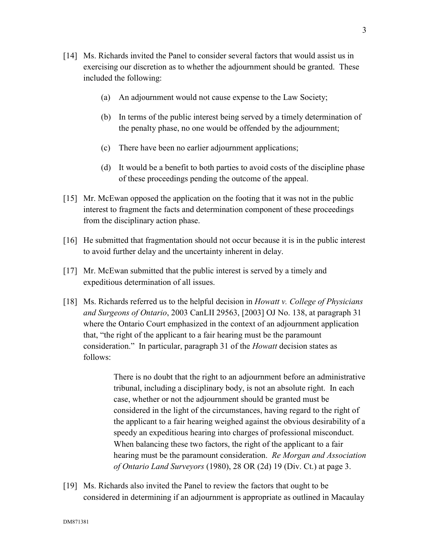- [14] Ms. Richards invited the Panel to consider several factors that would assist us in exercising our discretion as to whether the adjournment should be granted. These included the following:
	- (a) An adjournment would not cause expense to the Law Society;
	- (b) In terms of the public interest being served by a timely determination of the penalty phase, no one would be offended by the adjournment;
	- (c) There have been no earlier adjournment applications;
	- (d) It would be a benefit to both parties to avoid costs of the discipline phase of these proceedings pending the outcome of the appeal.
- [15] Mr. McEwan opposed the application on the footing that it was not in the public interest to fragment the facts and determination component of these proceedings from the disciplinary action phase.
- [16] He submitted that fragmentation should not occur because it is in the public interest to avoid further delay and the uncertainty inherent in delay.
- [17] Mr. McEwan submitted that the public interest is served by a timely and expeditious determination of all issues.
- [18] Ms. Richards referred us to the helpful decision in *Howatt v. College of Physicians and Surgeons of Ontario*, 2003 CanLII 29563, [2003] OJ No. 138, at paragraph 31 where the Ontario Court emphasized in the context of an adjournment application that, "the right of the applicant to a fair hearing must be the paramount consideration." In particular, paragraph 31 of the *Howatt* decision states as follows:

There is no doubt that the right to an adjournment before an administrative tribunal, including a disciplinary body, is not an absolute right. In each case, whether or not the adjournment should be granted must be considered in the light of the circumstances, having regard to the right of the applicant to a fair hearing weighed against the obvious desirability of a speedy an expeditious hearing into charges of professional misconduct. When balancing these two factors, the right of the applicant to a fair hearing must be the paramount consideration. *Re Morgan and Association of Ontario Land Surveyors* (1980), 28 OR (2d) 19 (Div. Ct.) at page 3.

[19] Ms. Richards also invited the Panel to review the factors that ought to be considered in determining if an adjournment is appropriate as outlined in Macaulay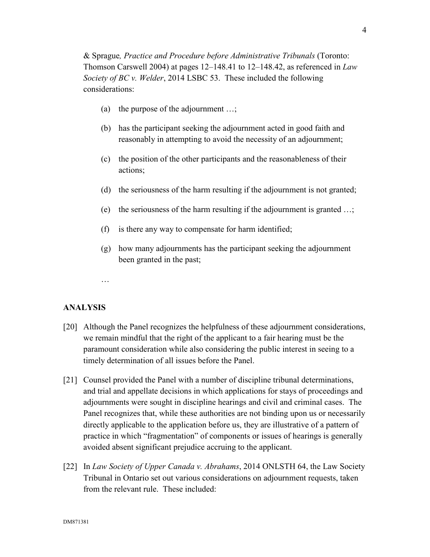& Sprague*, Practice and Procedure before Administrative Tribunals* (Toronto: Thomson Carswell 2004) at pages 12–148.41 to 12–148.42, as referenced in *Law Society of BC v. Welder*, 2014 LSBC 53. These included the following considerations:

- (a) the purpose of the adjournment …;
- (b) has the participant seeking the adjournment acted in good faith and reasonably in attempting to avoid the necessity of an adjournment;
- (c) the position of the other participants and the reasonableness of their actions;
- (d) the seriousness of the harm resulting if the adjournment is not granted;
- (e) the seriousness of the harm resulting if the adjournment is granted …;
- (f) is there any way to compensate for harm identified;
- (g) how many adjournments has the participant seeking the adjournment been granted in the past;
- …

## **ANALYSIS**

- [20] Although the Panel recognizes the helpfulness of these adjournment considerations, we remain mindful that the right of the applicant to a fair hearing must be the paramount consideration while also considering the public interest in seeing to a timely determination of all issues before the Panel.
- [21] Counsel provided the Panel with a number of discipline tribunal determinations, and trial and appellate decisions in which applications for stays of proceedings and adjournments were sought in discipline hearings and civil and criminal cases. The Panel recognizes that, while these authorities are not binding upon us or necessarily directly applicable to the application before us, they are illustrative of a pattern of practice in which "fragmentation" of components or issues of hearings is generally avoided absent significant prejudice accruing to the applicant.
- [22] In *Law Society of Upper Canada v. Abrahams*, 2014 ONLSTH 64, the Law Society Tribunal in Ontario set out various considerations on adjournment requests, taken from the relevant rule. These included: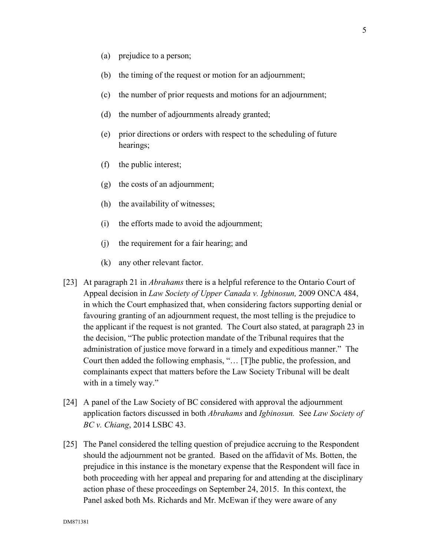- (a) prejudice to a person;
- (b) the timing of the request or motion for an adjournment;
- (c) the number of prior requests and motions for an adjournment;
- (d) the number of adjournments already granted;
- (e) prior directions or orders with respect to the scheduling of future hearings;
- (f) the public interest;
- (g) the costs of an adjournment;
- (h) the availability of witnesses;
- (i) the efforts made to avoid the adjournment;
- (j) the requirement for a fair hearing; and
- (k) any other relevant factor.
- [23] At paragraph 21 in *Abrahams* there is a helpful reference to the Ontario Court of Appeal decision in *Law Society of Upper Canada v. Igbinosun,* 2009 ONCA 484, in which the Court emphasized that, when considering factors supporting denial or favouring granting of an adjournment request, the most telling is the prejudice to the applicant if the request is not granted. The Court also stated, at paragraph 23 in the decision, "The public protection mandate of the Tribunal requires that the administration of justice move forward in a timely and expeditious manner." The Court then added the following emphasis, "… [T]he public, the profession, and complainants expect that matters before the Law Society Tribunal will be dealt with in a timely way."
- [24] A panel of the Law Society of BC considered with approval the adjournment application factors discussed in both *Abrahams* and *Igbinosun.* See *Law Society of BC v. Chiang*, 2014 LSBC 43.
- [25] The Panel considered the telling question of prejudice accruing to the Respondent should the adjournment not be granted. Based on the affidavit of Ms. Botten, the prejudice in this instance is the monetary expense that the Respondent will face in both proceeding with her appeal and preparing for and attending at the disciplinary action phase of these proceedings on September 24, 2015. In this context, the Panel asked both Ms. Richards and Mr. McEwan if they were aware of any